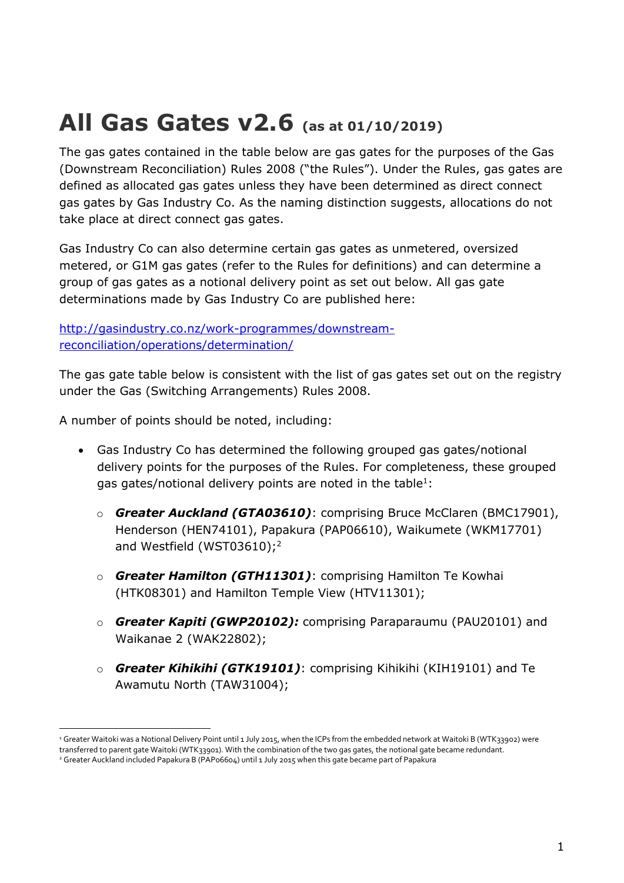## **All Gas Gates v2.6 (as at 01/10/2019)**

The gas gates contained in the table below are gas gates for the purposes of the Gas (Downstream Reconciliation) Rules 2008 ("the Rules"). Under the Rules, gas gates are defined as allocated gas gates unless they have been determined as direct connect gas gates by Gas Industry Co. As the naming distinction suggests, allocations do not take place at direct connect gas gates.

Gas Industry Co can also determine certain gas gates as unmetered, oversized metered, or G1M gas gates (refer to the Rules for definitions) and can determine a group of gas gates as a notional delivery point as set out below. All gas gate determinations made by Gas Industry Co are published here:

[http://gasindustry.co.nz/work-programmes/downstream](http://gasindustry.co.nz/work-programmes/downstream-reconciliation/operations/determination/)[reconciliation/operations/determination/](http://gasindustry.co.nz/work-programmes/downstream-reconciliation/operations/determination/)

The gas gate table below is consistent with the list of gas gates set out on the registry under the Gas (Switching Arrangements) Rules 2008.

A number of points should be noted, including:

- Gas Industry Co has determined the following grouped gas gates/notional delivery points for the purposes of the Rules. For completeness, these grouped gas gates/notional delivery points are noted in the table $^1$ :
	- o *Greater Auckland (GTA03610)*: comprising Bruce McClaren (BMC17901), Henderson (HEN74101), Papakura (PAP06610), Waikumete (WKM17701) and Westfield (WST03610);<sup>2</sup>
	- o *Greater Hamilton (GTH11301)*: comprising Hamilton Te Kowhai (HTK08301) and Hamilton Temple View (HTV11301);
	- o *Greater Kapiti (GWP20102):* comprising Paraparaumu (PAU20101) and Waikanae 2 (WAK22802);
	- o *Greater Kihikihi (GTK19101)*: comprising Kihikihi (KIH19101) and Te Awamutu North (TAW31004);

<sup>&</sup>lt;sup>1</sup> Greater Waitoki was a Notional Delivery Point until 1 July 2015, when the ICPs from the embedded network at Waitoki B (WTK33902) were transferred to parent gate Waitoki (WTK33901). With the combination of the two gas gates, the notional gate became redundant.

<sup>2</sup> Greater Auckland included Papakura B (PAP06604) until 1 July 2015 when this gate became part of Papakura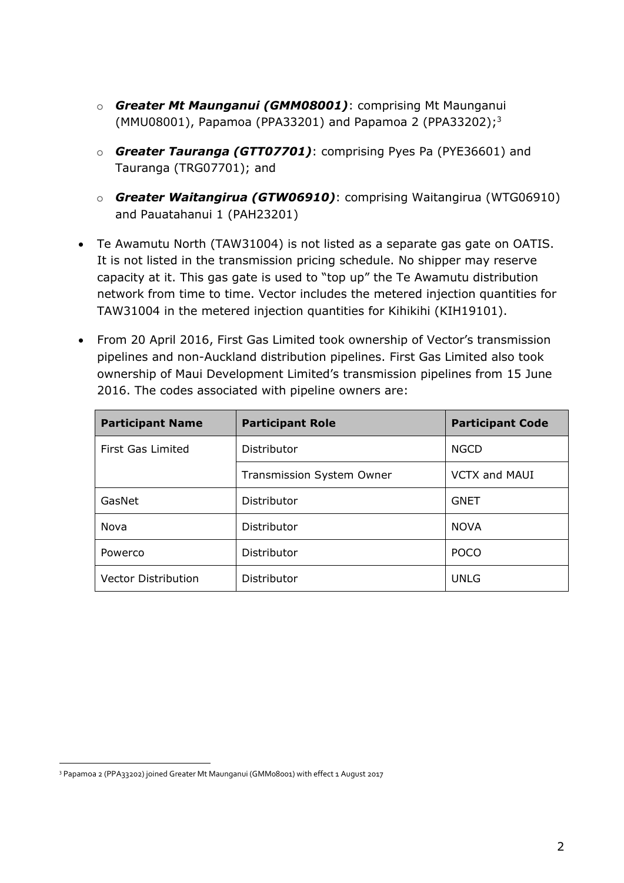- o *Greater Mt Maunganui (GMM08001)*: comprising Mt Maunganui (MMU08001), Papamoa (PPA33201) and Papamoa 2 (PPA33202); 3
- o *Greater Tauranga (GTT07701)*: comprising Pyes Pa (PYE36601) and Tauranga (TRG07701); and
- o *Greater Waitangirua (GTW06910)*: comprising Waitangirua (WTG06910) and Pauatahanui 1 (PAH23201)
- Te Awamutu North (TAW31004) is not listed as a separate gas gate on OATIS. It is not listed in the transmission pricing schedule. No shipper may reserve capacity at it. This gas gate is used to "top up" the Te Awamutu distribution network from time to time. Vector includes the metered injection quantities for TAW31004 in the metered injection quantities for Kihikihi (KIH19101).
- From 20 April 2016, First Gas Limited took ownership of Vector's transmission pipelines and non-Auckland distribution pipelines. First Gas Limited also took ownership of Maui Development Limited's transmission pipelines from 15 June 2016. The codes associated with pipeline owners are:

| <b>Participant Name</b>    | <b>Participant Role</b>   | <b>Participant Code</b> |
|----------------------------|---------------------------|-------------------------|
| First Gas Limited          | Distributor               | <b>NGCD</b>             |
|                            | Transmission System Owner | <b>VCTX and MAUI</b>    |
| GasNet                     | Distributor               | <b>GNET</b>             |
| Nova                       | Distributor               | <b>NOVA</b>             |
| Powerco                    | Distributor               | <b>POCO</b>             |
| <b>Vector Distribution</b> | Distributor               | <b>UNLG</b>             |

<sup>3</sup> Papamoa 2 (PPA33202) joined Greater Mt Maunganui (GMM08001) with effect 1 August 2017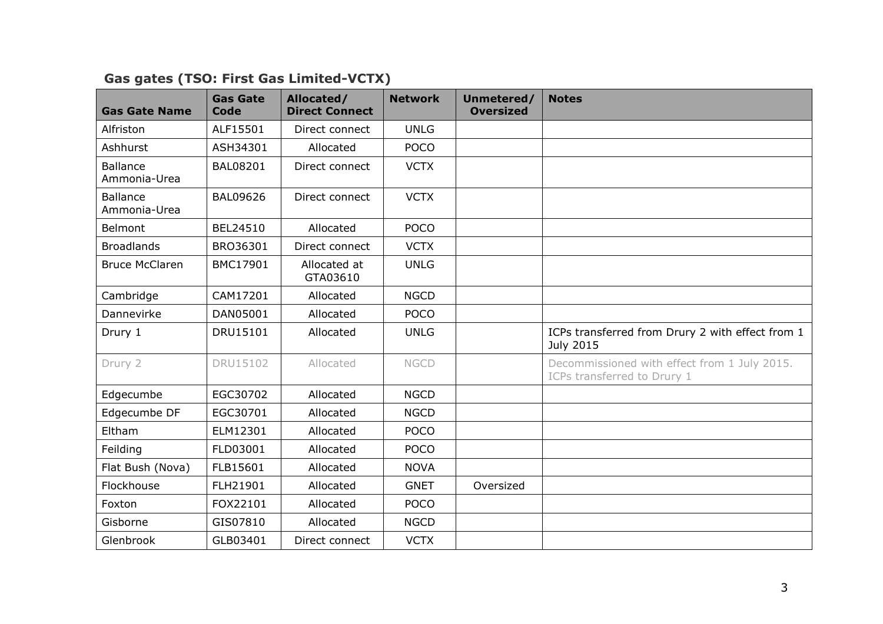| <b>Gas Gate Name</b>            | <b>Gas Gate</b><br><b>Code</b> | Allocated/<br><b>Direct Connect</b> | <b>Network</b> | Unmetered/<br><b>Oversized</b> | <b>Notes</b>                                                                |
|---------------------------------|--------------------------------|-------------------------------------|----------------|--------------------------------|-----------------------------------------------------------------------------|
| Alfriston                       | ALF15501                       | Direct connect                      | <b>UNLG</b>    |                                |                                                                             |
| Ashhurst                        | ASH34301                       | Allocated                           | <b>POCO</b>    |                                |                                                                             |
| <b>Ballance</b><br>Ammonia-Urea | <b>BAL08201</b>                | Direct connect                      | <b>VCTX</b>    |                                |                                                                             |
| <b>Ballance</b><br>Ammonia-Urea | <b>BAL09626</b>                | Direct connect                      | <b>VCTX</b>    |                                |                                                                             |
| Belmont                         | BEL24510                       | Allocated                           | <b>POCO</b>    |                                |                                                                             |
| <b>Broadlands</b>               | BRO36301                       | Direct connect                      | <b>VCTX</b>    |                                |                                                                             |
| <b>Bruce McClaren</b>           | BMC17901                       | Allocated at<br>GTA03610            | <b>UNLG</b>    |                                |                                                                             |
| Cambridge                       | CAM17201                       | Allocated                           | <b>NGCD</b>    |                                |                                                                             |
| Dannevirke                      | DAN05001                       | Allocated                           | <b>POCO</b>    |                                |                                                                             |
| Drury 1                         | DRU15101                       | Allocated                           | <b>UNLG</b>    |                                | ICPs transferred from Drury 2 with effect from 1<br>July 2015               |
| Drury 2                         | DRU15102                       | Allocated                           | <b>NGCD</b>    |                                | Decommissioned with effect from 1 July 2015.<br>ICPs transferred to Drury 1 |
| Edgecumbe                       | EGC30702                       | Allocated                           | <b>NGCD</b>    |                                |                                                                             |
| Edgecumbe DF                    | EGC30701                       | Allocated                           | <b>NGCD</b>    |                                |                                                                             |
| Eltham                          | ELM12301                       | Allocated                           | <b>POCO</b>    |                                |                                                                             |
| Feilding                        | FLD03001                       | Allocated                           | <b>POCO</b>    |                                |                                                                             |
| Flat Bush (Nova)                | FLB15601                       | Allocated                           | <b>NOVA</b>    |                                |                                                                             |
| Flockhouse                      | FLH21901                       | Allocated                           | <b>GNET</b>    | Oversized                      |                                                                             |
| Foxton                          | FOX22101                       | Allocated                           | <b>POCO</b>    |                                |                                                                             |
| Gisborne                        | GIS07810                       | Allocated                           | <b>NGCD</b>    |                                |                                                                             |
| Glenbrook                       | GLB03401                       | Direct connect                      | <b>VCTX</b>    |                                |                                                                             |

## **Gas gates (TSO: First Gas Limited-VCTX)**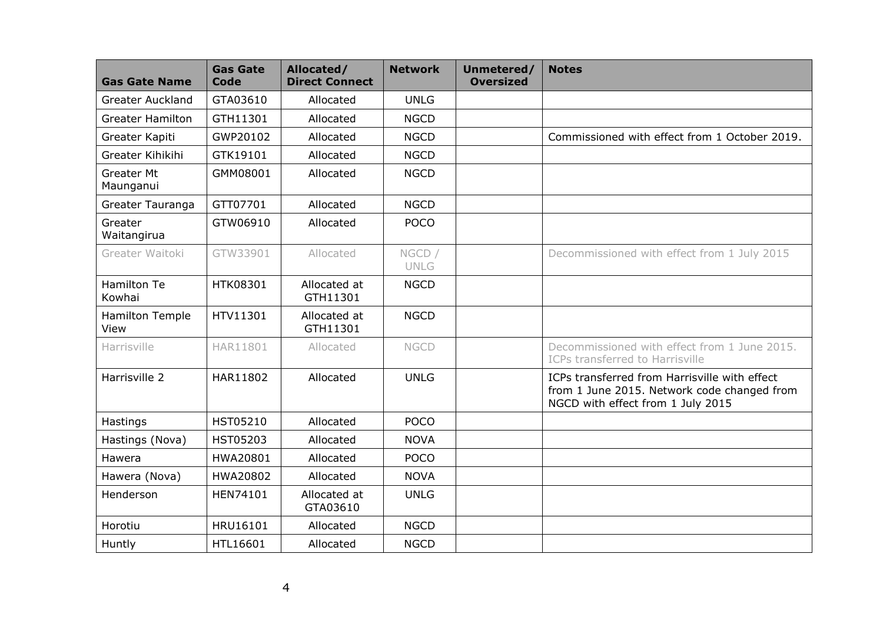| <b>Gas Gate Name</b>           | <b>Gas Gate</b><br><b>Code</b> | Allocated/<br><b>Direct Connect</b> | <b>Network</b>        | Unmetered/<br><b>Oversized</b> | <b>Notes</b>                                                                                                                      |
|--------------------------------|--------------------------------|-------------------------------------|-----------------------|--------------------------------|-----------------------------------------------------------------------------------------------------------------------------------|
| <b>Greater Auckland</b>        | GTA03610                       | Allocated                           | <b>UNLG</b>           |                                |                                                                                                                                   |
| <b>Greater Hamilton</b>        | GTH11301                       | Allocated                           | <b>NGCD</b>           |                                |                                                                                                                                   |
| Greater Kapiti                 | GWP20102                       | Allocated                           | <b>NGCD</b>           |                                | Commissioned with effect from 1 October 2019.                                                                                     |
| Greater Kihikihi               | GTK19101                       | Allocated                           | <b>NGCD</b>           |                                |                                                                                                                                   |
| <b>Greater Mt</b><br>Maunganui | GMM08001                       | Allocated                           | <b>NGCD</b>           |                                |                                                                                                                                   |
| Greater Tauranga               | GTT07701                       | Allocated                           | <b>NGCD</b>           |                                |                                                                                                                                   |
| Greater<br>Waitangirua         | GTW06910                       | Allocated                           | <b>POCO</b>           |                                |                                                                                                                                   |
| Greater Waitoki                | GTW33901                       | Allocated                           | NGCD /<br><b>UNLG</b> |                                | Decommissioned with effect from 1 July 2015                                                                                       |
| <b>Hamilton Te</b><br>Kowhai   | HTK08301                       | Allocated at<br>GTH11301            | <b>NGCD</b>           |                                |                                                                                                                                   |
| Hamilton Temple<br>View        | HTV11301                       | Allocated at<br>GTH11301            | <b>NGCD</b>           |                                |                                                                                                                                   |
| Harrisville                    | HAR11801                       | Allocated                           | <b>NGCD</b>           |                                | Decommissioned with effect from 1 June 2015.<br>ICPs transferred to Harrisville                                                   |
| Harrisville 2                  | HAR11802                       | Allocated                           | <b>UNLG</b>           |                                | ICPs transferred from Harrisville with effect<br>from 1 June 2015. Network code changed from<br>NGCD with effect from 1 July 2015 |
| Hastings                       | <b>HST05210</b>                | Allocated                           | <b>POCO</b>           |                                |                                                                                                                                   |
| Hastings (Nova)                | <b>HST05203</b>                | Allocated                           | <b>NOVA</b>           |                                |                                                                                                                                   |
| Hawera                         | HWA20801                       | Allocated                           | <b>POCO</b>           |                                |                                                                                                                                   |
| Hawera (Nova)                  | HWA20802                       | Allocated                           | <b>NOVA</b>           |                                |                                                                                                                                   |
| Henderson                      | HEN74101                       | Allocated at<br>GTA03610            | <b>UNLG</b>           |                                |                                                                                                                                   |
| Horotiu                        | HRU16101                       | Allocated                           | <b>NGCD</b>           |                                |                                                                                                                                   |
| Huntly                         | HTL16601                       | Allocated                           | <b>NGCD</b>           |                                |                                                                                                                                   |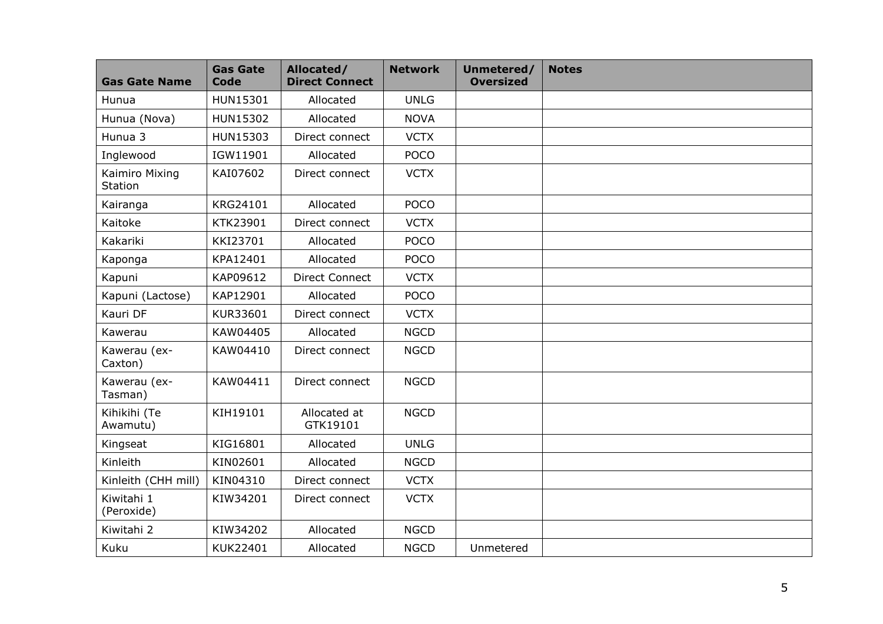| <b>Gas Gate Name</b>             | <b>Gas Gate</b><br><b>Code</b> | Allocated/<br><b>Direct Connect</b> | <b>Network</b> | Unmetered/<br><b>Oversized</b> | <b>Notes</b> |
|----------------------------------|--------------------------------|-------------------------------------|----------------|--------------------------------|--------------|
| Hunua                            | HUN15301                       | Allocated                           | <b>UNLG</b>    |                                |              |
| Hunua (Nova)                     | HUN15302                       | Allocated                           | <b>NOVA</b>    |                                |              |
| Hunua 3                          | HUN15303                       | Direct connect                      | <b>VCTX</b>    |                                |              |
| Inglewood                        | IGW11901                       | Allocated                           | <b>POCO</b>    |                                |              |
| Kaimiro Mixing<br><b>Station</b> | KAI07602                       | Direct connect                      | <b>VCTX</b>    |                                |              |
| Kairanga                         | KRG24101                       | Allocated                           | <b>POCO</b>    |                                |              |
| Kaitoke                          | KTK23901                       | Direct connect                      | <b>VCTX</b>    |                                |              |
| Kakariki                         | KKI23701                       | Allocated                           | <b>POCO</b>    |                                |              |
| Kaponga                          | KPA12401                       | Allocated                           | <b>POCO</b>    |                                |              |
| Kapuni                           | KAP09612                       | <b>Direct Connect</b>               | <b>VCTX</b>    |                                |              |
| Kapuni (Lactose)                 | KAP12901                       | Allocated                           | <b>POCO</b>    |                                |              |
| Kauri DF                         | KUR33601                       | Direct connect                      | <b>VCTX</b>    |                                |              |
| Kawerau                          | KAW04405                       | Allocated                           | <b>NGCD</b>    |                                |              |
| Kawerau (ex-<br>Caxton)          | KAW04410                       | Direct connect                      | <b>NGCD</b>    |                                |              |
| Kawerau (ex-<br>Tasman)          | KAW04411                       | Direct connect                      | <b>NGCD</b>    |                                |              |
| Kihikihi (Te<br>Awamutu)         | KIH19101                       | Allocated at<br>GTK19101            | <b>NGCD</b>    |                                |              |
| Kingseat                         | KIG16801                       | Allocated                           | <b>UNLG</b>    |                                |              |
| Kinleith                         | KIN02601                       | Allocated                           | <b>NGCD</b>    |                                |              |
| Kinleith (CHH mill)              | KIN04310                       | Direct connect                      | <b>VCTX</b>    |                                |              |
| Kiwitahi 1<br>(Peroxide)         | KIW34201                       | Direct connect                      | <b>VCTX</b>    |                                |              |
| Kiwitahi 2                       | KIW34202                       | Allocated                           | <b>NGCD</b>    |                                |              |
| Kuku                             | KUK22401                       | Allocated                           | <b>NGCD</b>    | Unmetered                      |              |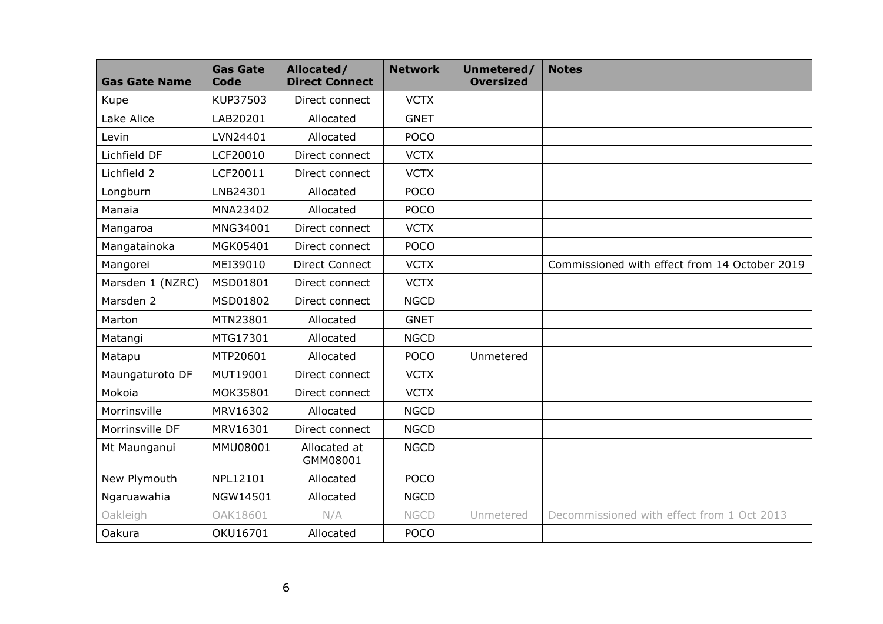| <b>Gas Gate Name</b> | <b>Gas Gate</b><br>Code | Allocated/<br><b>Direct Connect</b> | <b>Network</b> | Unmetered/<br><b>Oversized</b> | <b>Notes</b>                                  |
|----------------------|-------------------------|-------------------------------------|----------------|--------------------------------|-----------------------------------------------|
| Kupe                 | KUP37503                | Direct connect                      | <b>VCTX</b>    |                                |                                               |
| Lake Alice           | LAB20201                | Allocated                           | <b>GNET</b>    |                                |                                               |
| Levin                | LVN24401                | Allocated                           | <b>POCO</b>    |                                |                                               |
| Lichfield DF         | LCF20010                | Direct connect                      | <b>VCTX</b>    |                                |                                               |
| Lichfield 2          | LCF20011                | Direct connect                      | <b>VCTX</b>    |                                |                                               |
| Longburn             | LNB24301                | Allocated                           | <b>POCO</b>    |                                |                                               |
| Manaia               | MNA23402                | Allocated                           | <b>POCO</b>    |                                |                                               |
| Mangaroa             | MNG34001                | Direct connect                      | <b>VCTX</b>    |                                |                                               |
| Mangatainoka         | MGK05401                | Direct connect                      | <b>POCO</b>    |                                |                                               |
| Mangorei             | MEI39010                | <b>Direct Connect</b>               | <b>VCTX</b>    |                                | Commissioned with effect from 14 October 2019 |
| Marsden 1 (NZRC)     | MSD01801                | Direct connect                      | <b>VCTX</b>    |                                |                                               |
| Marsden 2            | MSD01802                | Direct connect                      | <b>NGCD</b>    |                                |                                               |
| Marton               | MTN23801                | Allocated                           | <b>GNET</b>    |                                |                                               |
| Matangi              | MTG17301                | Allocated                           | <b>NGCD</b>    |                                |                                               |
| Matapu               | MTP20601                | Allocated                           | <b>POCO</b>    | Unmetered                      |                                               |
| Maungaturoto DF      | MUT19001                | Direct connect                      | <b>VCTX</b>    |                                |                                               |
| Mokoia               | MOK35801                | Direct connect                      | <b>VCTX</b>    |                                |                                               |
| Morrinsville         | MRV16302                | Allocated                           | <b>NGCD</b>    |                                |                                               |
| Morrinsville DF      | MRV16301                | Direct connect                      | <b>NGCD</b>    |                                |                                               |
| Mt Maunganui         | MMU08001                | Allocated at<br>GMM08001            | <b>NGCD</b>    |                                |                                               |
| New Plymouth         | NPL12101                | Allocated                           | <b>POCO</b>    |                                |                                               |
| Ngaruawahia          | NGW14501                | Allocated                           | <b>NGCD</b>    |                                |                                               |
| Oakleigh             | OAK18601                | N/A                                 | <b>NGCD</b>    | Unmetered                      | Decommissioned with effect from 1 Oct 2013    |
| Oakura               | OKU16701                | Allocated                           | <b>POCO</b>    |                                |                                               |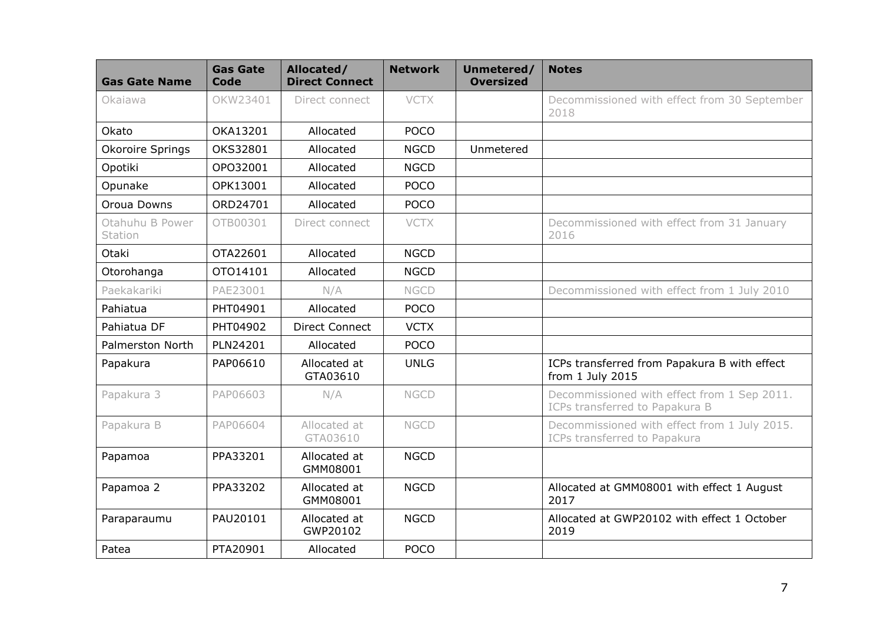| <b>Gas Gate Name</b>       | <b>Gas Gate</b><br>Code | Allocated/<br><b>Direct Connect</b> | <b>Network</b> | Unmetered/<br><b>Oversized</b> | <b>Notes</b>                                                                  |
|----------------------------|-------------------------|-------------------------------------|----------------|--------------------------------|-------------------------------------------------------------------------------|
| Okajawa                    | OKW23401                | Direct connect                      | <b>VCTX</b>    |                                | Decommissioned with effect from 30 September<br>2018                          |
| Okato                      | OKA13201                | Allocated                           | <b>POCO</b>    |                                |                                                                               |
| <b>Okoroire Springs</b>    | OKS32801                | Allocated                           | <b>NGCD</b>    | Unmetered                      |                                                                               |
| Opotiki                    | OPO32001                | Allocated                           | <b>NGCD</b>    |                                |                                                                               |
| Opunake                    | OPK13001                | Allocated                           | <b>POCO</b>    |                                |                                                                               |
| Oroua Downs                | ORD24701                | Allocated                           | <b>POCO</b>    |                                |                                                                               |
| Otahuhu B Power<br>Station | OTB00301                | Direct connect                      | <b>VCTX</b>    |                                | Decommissioned with effect from 31 January<br>2016                            |
| Otaki                      | OTA22601                | Allocated                           | <b>NGCD</b>    |                                |                                                                               |
| Otorohanga                 | OTO14101                | Allocated                           | <b>NGCD</b>    |                                |                                                                               |
| Paekakariki                | PAE23001                | N/A                                 | <b>NGCD</b>    |                                | Decommissioned with effect from 1 July 2010                                   |
| Pahiatua                   | PHT04901                | Allocated                           | <b>POCO</b>    |                                |                                                                               |
| Pahiatua DF                | PHT04902                | <b>Direct Connect</b>               | <b>VCTX</b>    |                                |                                                                               |
| <b>Palmerston North</b>    | PLN24201                | Allocated                           | <b>POCO</b>    |                                |                                                                               |
| Papakura                   | PAP06610                | Allocated at<br>GTA03610            | <b>UNLG</b>    |                                | ICPs transferred from Papakura B with effect<br>from 1 July 2015              |
| Papakura 3                 | PAP06603                | N/A                                 | <b>NGCD</b>    |                                | Decommissioned with effect from 1 Sep 2011.<br>ICPs transferred to Papakura B |
| Papakura B                 | PAP06604                | Allocated at<br>GTA03610            | <b>NGCD</b>    |                                | Decommissioned with effect from 1 July 2015.<br>ICPs transferred to Papakura  |
| Papamoa                    | PPA33201                | Allocated at<br>GMM08001            | <b>NGCD</b>    |                                |                                                                               |
| Papamoa 2                  | PPA33202                | Allocated at<br>GMM08001            | <b>NGCD</b>    |                                | Allocated at GMM08001 with effect 1 August<br>2017                            |
| Paraparaumu                | PAU20101                | Allocated at<br>GWP20102            | <b>NGCD</b>    |                                | Allocated at GWP20102 with effect 1 October<br>2019                           |
| Patea                      | PTA20901                | Allocated                           | <b>POCO</b>    |                                |                                                                               |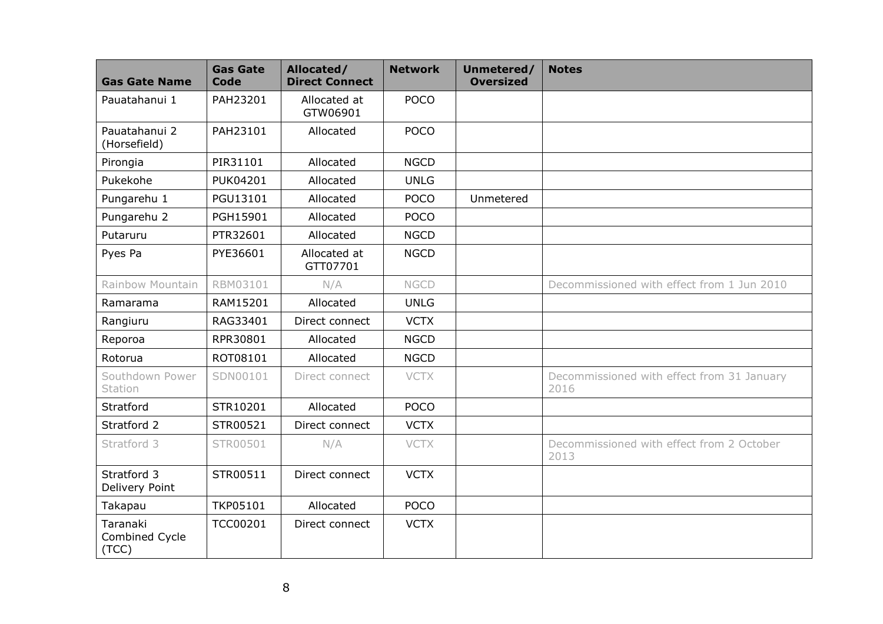| <b>Gas Gate Name</b>                | <b>Gas Gate</b><br><b>Code</b> | Allocated/<br><b>Direct Connect</b> | <b>Network</b> | Unmetered/<br><b>Oversized</b> | <b>Notes</b>                                       |
|-------------------------------------|--------------------------------|-------------------------------------|----------------|--------------------------------|----------------------------------------------------|
| Pauatahanui 1                       | PAH23201                       | Allocated at<br>GTW06901            | <b>POCO</b>    |                                |                                                    |
| Pauatahanui 2<br>(Horsefield)       | PAH23101                       | Allocated                           | <b>POCO</b>    |                                |                                                    |
| Pirongia                            | PIR31101                       | Allocated                           | <b>NGCD</b>    |                                |                                                    |
| Pukekohe                            | <b>PUK04201</b>                | Allocated                           | <b>UNLG</b>    |                                |                                                    |
| Pungarehu 1                         | PGU13101                       | Allocated                           | <b>POCO</b>    | Unmetered                      |                                                    |
| Pungarehu 2                         | PGH15901                       | Allocated                           | <b>POCO</b>    |                                |                                                    |
| Putaruru                            | PTR32601                       | Allocated                           | <b>NGCD</b>    |                                |                                                    |
| Pyes Pa                             | PYE36601                       | Allocated at<br>GTT07701            | <b>NGCD</b>    |                                |                                                    |
| Rainbow Mountain                    | RBM03101                       | N/A                                 | <b>NGCD</b>    |                                | Decommissioned with effect from 1 Jun 2010         |
| Ramarama                            | RAM15201                       | Allocated                           | <b>UNLG</b>    |                                |                                                    |
| Rangiuru                            | RAG33401                       | Direct connect                      | <b>VCTX</b>    |                                |                                                    |
| Reporoa                             | RPR30801                       | Allocated                           | <b>NGCD</b>    |                                |                                                    |
| Rotorua                             | ROT08101                       | Allocated                           | <b>NGCD</b>    |                                |                                                    |
| Southdown Power<br>Station          | SDN00101                       | Direct connect                      | <b>VCTX</b>    |                                | Decommissioned with effect from 31 January<br>2016 |
| Stratford                           | STR10201                       | Allocated                           | <b>POCO</b>    |                                |                                                    |
| Stratford 2                         | STR00521                       | Direct connect                      | <b>VCTX</b>    |                                |                                                    |
| Stratford 3                         | STR00501                       | N/A                                 | <b>VCTX</b>    |                                | Decommissioned with effect from 2 October<br>2013  |
| Stratford 3<br>Delivery Point       | STR00511                       | Direct connect                      | <b>VCTX</b>    |                                |                                                    |
| Takapau                             | TKP05101                       | Allocated                           | <b>POCO</b>    |                                |                                                    |
| Taranaki<br>Combined Cycle<br>(TCC) | <b>TCC00201</b>                | Direct connect                      | <b>VCTX</b>    |                                |                                                    |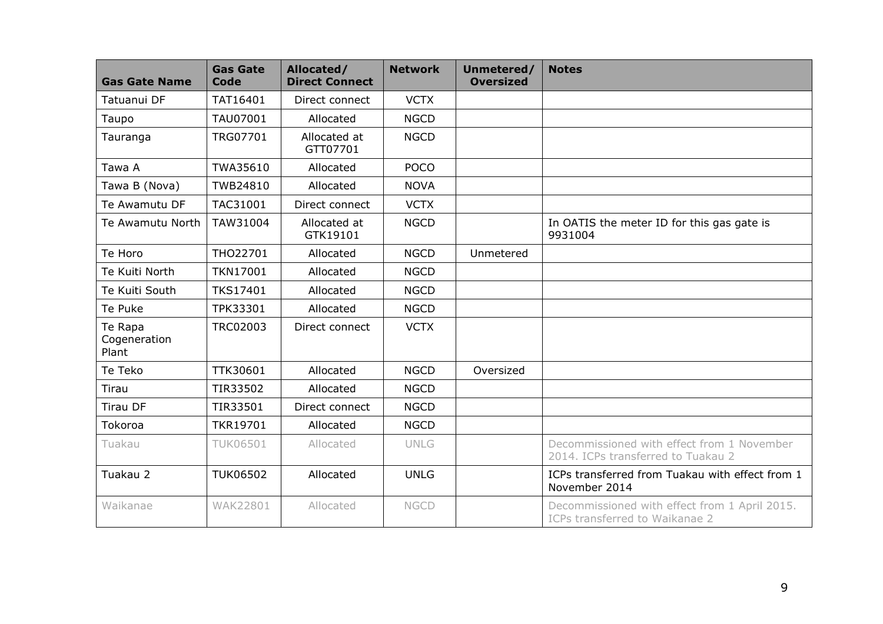| <b>Gas Gate Name</b>             | <b>Gas Gate</b><br><b>Code</b> | Allocated/<br><b>Direct Connect</b> | <b>Network</b> | Unmetered/<br><b>Oversized</b> | <b>Notes</b>                                                                     |
|----------------------------------|--------------------------------|-------------------------------------|----------------|--------------------------------|----------------------------------------------------------------------------------|
| Tatuanui DF                      | TAT16401                       | Direct connect                      | <b>VCTX</b>    |                                |                                                                                  |
| Taupo                            | TAU07001                       | Allocated                           | <b>NGCD</b>    |                                |                                                                                  |
| Tauranga                         | TRG07701                       | Allocated at<br>GTT07701            | <b>NGCD</b>    |                                |                                                                                  |
| Tawa A                           | TWA35610                       | Allocated                           | <b>POCO</b>    |                                |                                                                                  |
| Tawa B (Nova)                    | TWB24810                       | Allocated                           | <b>NOVA</b>    |                                |                                                                                  |
| Te Awamutu DF                    | TAC31001                       | Direct connect                      | <b>VCTX</b>    |                                |                                                                                  |
| Te Awamutu North                 | TAW31004                       | Allocated at<br>GTK19101            | <b>NGCD</b>    |                                | In OATIS the meter ID for this gas gate is<br>9931004                            |
| Te Horo                          | THO22701                       | Allocated                           | <b>NGCD</b>    | Unmetered                      |                                                                                  |
| Te Kuiti North                   | <b>TKN17001</b>                | Allocated                           | <b>NGCD</b>    |                                |                                                                                  |
| Te Kuiti South                   | <b>TKS17401</b>                | Allocated                           | <b>NGCD</b>    |                                |                                                                                  |
| Te Puke                          | TPK33301                       | Allocated                           | <b>NGCD</b>    |                                |                                                                                  |
| Te Rapa<br>Cogeneration<br>Plant | TRC02003                       | Direct connect                      | <b>VCTX</b>    |                                |                                                                                  |
| Te Teko                          | TTK30601                       | Allocated                           | <b>NGCD</b>    | Oversized                      |                                                                                  |
| Tirau                            | TIR33502                       | Allocated                           | <b>NGCD</b>    |                                |                                                                                  |
| <b>Tirau DF</b>                  | TIR33501                       | Direct connect                      | <b>NGCD</b>    |                                |                                                                                  |
| Tokoroa                          | <b>TKR19701</b>                | Allocated                           | <b>NGCD</b>    |                                |                                                                                  |
| Tuakau                           | <b>TUK06501</b>                | Allocated                           | <b>UNLG</b>    |                                | Decommissioned with effect from 1 November<br>2014. ICPs transferred to Tuakau 2 |
| Tuakau 2                         | <b>TUK06502</b>                | Allocated                           | <b>UNLG</b>    |                                | ICPs transferred from Tuakau with effect from 1<br>November 2014                 |
| Waikanae                         | <b>WAK22801</b>                | Allocated                           | <b>NGCD</b>    |                                | Decommissioned with effect from 1 April 2015.<br>ICPs transferred to Waikanae 2  |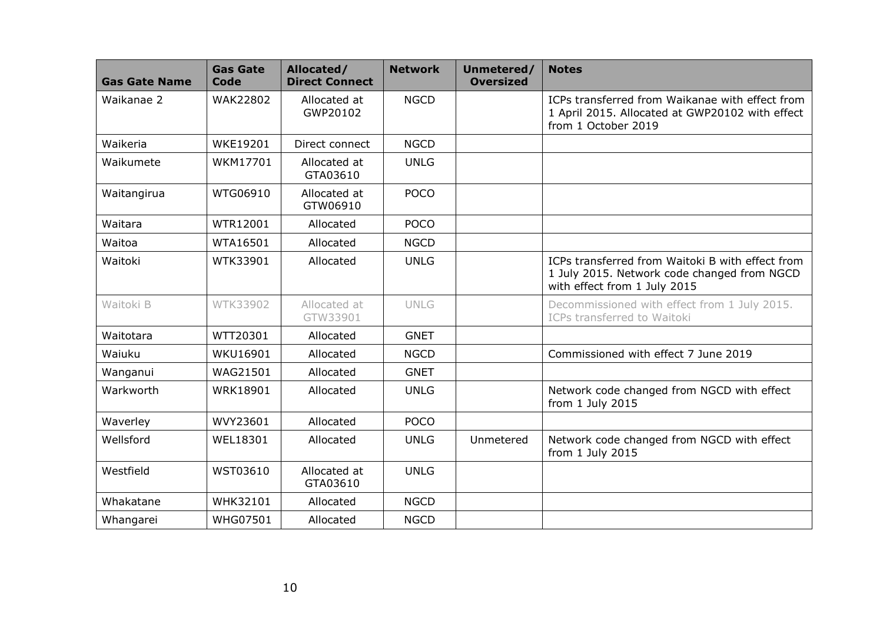| <b>Gas Gate Name</b> | <b>Gas Gate</b><br>Code | Allocated/<br><b>Direct Connect</b> | <b>Network</b> | Unmetered/<br><b>Oversized</b> | <b>Notes</b>                                                                                                                    |
|----------------------|-------------------------|-------------------------------------|----------------|--------------------------------|---------------------------------------------------------------------------------------------------------------------------------|
| Waikanae 2           | WAK22802                | Allocated at<br>GWP20102            | <b>NGCD</b>    |                                | ICPs transferred from Waikanae with effect from<br>1 April 2015. Allocated at GWP20102 with effect<br>from 1 October 2019       |
| Waikeria             | <b>WKE19201</b>         | Direct connect                      | <b>NGCD</b>    |                                |                                                                                                                                 |
| Waikumete            | WKM17701                | Allocated at<br>GTA03610            | <b>UNLG</b>    |                                |                                                                                                                                 |
| Waitangirua          | WTG06910                | Allocated at<br>GTW06910            | <b>POCO</b>    |                                |                                                                                                                                 |
| Waitara              | WTR12001                | Allocated                           | <b>POCO</b>    |                                |                                                                                                                                 |
| Waitoa               | WTA16501                | Allocated                           | <b>NGCD</b>    |                                |                                                                                                                                 |
| Waitoki              | WTK33901                | Allocated                           | <b>UNLG</b>    |                                | ICPs transferred from Waitoki B with effect from<br>1 July 2015. Network code changed from NGCD<br>with effect from 1 July 2015 |
| Waitoki B            | WTK33902                | Allocated at<br>GTW33901            | <b>UNLG</b>    |                                | Decommissioned with effect from 1 July 2015.<br>ICPs transferred to Waitoki                                                     |
| Waitotara            | WTT20301                | Allocated                           | <b>GNET</b>    |                                |                                                                                                                                 |
| Waiuku               | WKU16901                | Allocated                           | <b>NGCD</b>    |                                | Commissioned with effect 7 June 2019                                                                                            |
| Wanganui             | WAG21501                | Allocated                           | <b>GNET</b>    |                                |                                                                                                                                 |
| Warkworth            | WRK18901                | Allocated                           | <b>UNLG</b>    |                                | Network code changed from NGCD with effect<br>from 1 July 2015                                                                  |
| Waverley             | WVY23601                | Allocated                           | <b>POCO</b>    |                                |                                                                                                                                 |
| Wellsford            | WEL18301                | Allocated                           | <b>UNLG</b>    | Unmetered                      | Network code changed from NGCD with effect<br>from 1 July 2015                                                                  |
| Westfield            | WST03610                | Allocated at<br>GTA03610            | <b>UNLG</b>    |                                |                                                                                                                                 |
| Whakatane            | WHK32101                | Allocated                           | <b>NGCD</b>    |                                |                                                                                                                                 |
| Whangarei            | <b>WHG07501</b>         | Allocated                           | <b>NGCD</b>    |                                |                                                                                                                                 |